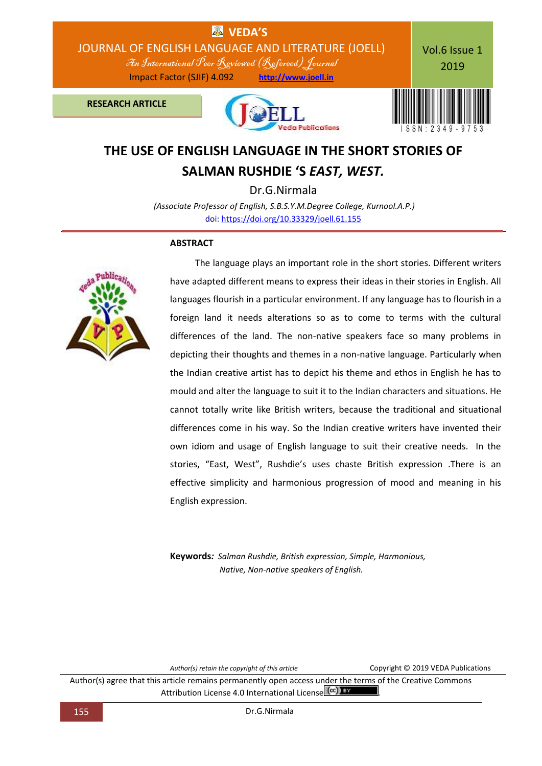

# **THE USE OF ENGLISH LANGUAGE IN THE SHORT STORIES OF SALMAN RUSHDIE 'S** *EAST, WEST.*

Dr.G.Nirmala *(Associate Professor of English, S.B.S.Y.M.Degree College, Kurnool.A.P.)* doi[: https://doi.org/10.33329/joell.61.155](http://joell.in/vol-6-issue-1-2019/)

### **ABSTRACT**



 The language plays an important role in the short stories. Different writers have adapted different means to express their ideas in their stories in English. All languages flourish in a particular environment. If any language has to flourish in a foreign land it needs alterations so as to come to terms with the cultural differences of the land. The non-native speakers face so many problems in depicting their thoughts and themes in a non-native language. Particularly when the Indian creative artist has to depict his theme and ethos in English he has to mould and alter the language to suit it to the Indian characters and situations. He cannot totally write like British writers, because the traditional and situational differences come in his way. So the Indian creative writers have invented their own idiom and usage of English language to suit their creative needs. In the stories, "East, West", Rushdie's uses chaste British expression .There is an effective simplicity and harmonious progression of mood and meaning in his English expression.

**Keywords***: Salman Rushdie, British expression, Simple, Harmonious, Native, Non-native speakers of English.*

*Author(s) retain the copyright of this article* Copyright © 2019 VEDA Publications

Author(s) agree that this article remains permanently open access under the terms of the Creative Commons Attribution License 4.0 International License (<sup>cc</sup>)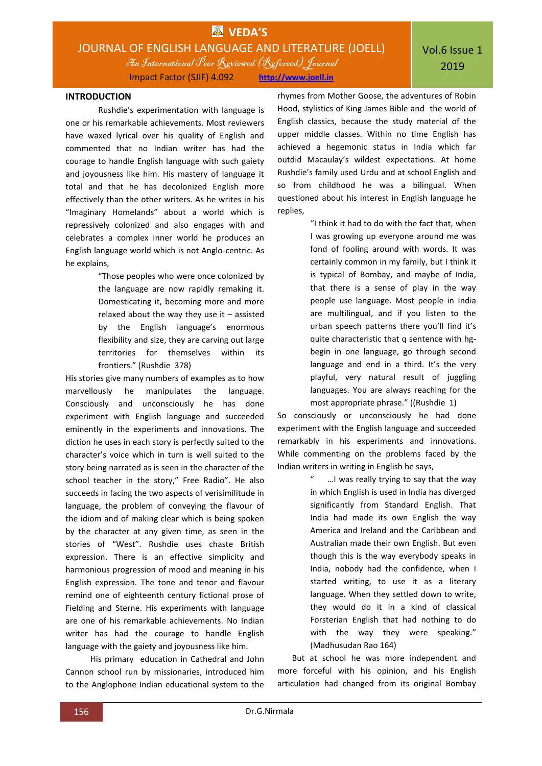Impact Factor (SJIF) 4.092 **http://www.joell.in**

### **INTRODUCTION**

Rushdie's experimentation with language is one or his remarkable achievements. Most reviewers have waxed lyrical over his quality of English and commented that no Indian writer has had the courage to handle English language with such gaiety and joyousness like him. His mastery of language it total and that he has decolonized English more effectively than the other writers. As he writes in his "Imaginary Homelands" about a world which is repressively colonized and also engages with and celebrates a complex inner world he produces an English language world which is not Anglo-centric. As he explains,

> "Those peoples who were once colonized by the language are now rapidly remaking it. Domesticating it, becoming more and more relaxed about the way they use it – assisted by the English language's enormous flexibility and size, they are carving out large territories for themselves within its frontiers." (Rushdie 378)

His stories give many numbers of examples as to how marvellously he manipulates the language. Consciously and unconsciously he has done experiment with English language and succeeded eminently in the experiments and innovations. The diction he uses in each story is perfectly suited to the character's voice which in turn is well suited to the story being narrated as is seen in the character of the school teacher in the story," Free Radio". He also succeeds in facing the two aspects of verisimilitude in language, the problem of conveying the flavour of the idiom and of making clear which is being spoken by the character at any given time, as seen in the stories of "West". Rushdie uses chaste British expression. There is an effective simplicity and harmonious progression of mood and meaning in his English expression. The tone and tenor and flavour remind one of eighteenth century fictional prose of Fielding and Sterne. His experiments with language are one of his remarkable achievements. No Indian writer has had the courage to handle English language with the gaiety and joyousness like him.

 His primary education in Cathedral and John Cannon school run by missionaries, introduced him to the Anglophone Indian educational system to the

rhymes from Mother Goose, the adventures of Robin Hood, stylistics of King James Bible and the world of English classics, because the study material of the upper middle classes. Within no time English has achieved a hegemonic status in India which far outdid Macaulay's wildest expectations. At home Rushdie's family used Urdu and at school English and so from childhood he was a bilingual. When questioned about his interest in English language he replies,

> "I think it had to do with the fact that, when I was growing up everyone around me was fond of fooling around with words. It was certainly common in my family, but I think it is typical of Bombay, and maybe of India, that there is a sense of play in the way people use language. Most people in India are multilingual, and if you listen to the urban speech patterns there you'll find it's quite characteristic that q sentence with hgbegin in one language, go through second language and end in a third. It's the very playful, very natural result of juggling languages. You are always reaching for the most appropriate phrase." ((Rushdie 1)

So consciously or unconsciously he had done experiment with the English language and succeeded remarkably in his experiments and innovations. While commenting on the problems faced by the Indian writers in writing in English he says,

> ... I was really trying to say that the way in which English is used in India has diverged significantly from Standard English. That India had made its own English the way America and Ireland and the Caribbean and Australian made their own English. But even though this is the way everybody speaks in India, nobody had the confidence, when I started writing, to use it as a literary language. When they settled down to write, they would do it in a kind of classical Forsterian English that had nothing to do with the way they were speaking." (Madhusudan Rao 164)

 But at school he was more independent and more forceful with his opinion, and his English articulation had changed from its original Bombay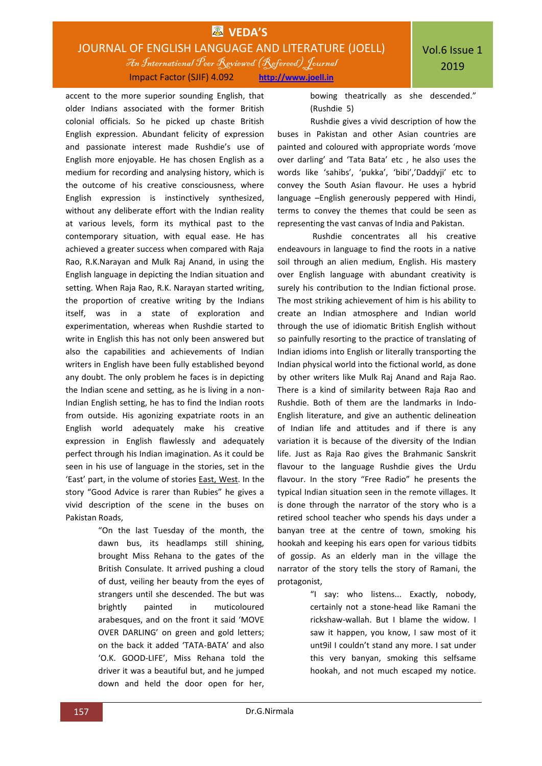### **EX** VEDA'S JOURNAL OF ENGLISH LANGUAGE AND LITERATURE (JOELL) An International Peer Reviewed (Refereed)Journal Impact Factor (SJIF) 4.092 **http://www.joell.in**

accent to the more superior sounding English, that older Indians associated with the former British colonial officials. So he picked up chaste British English expression. Abundant felicity of expression and passionate interest made Rushdie's use of English more enjoyable. He has chosen English as a medium for recording and analysing history, which is the outcome of his creative consciousness, where English expression is instinctively synthesized, without any deliberate effort with the Indian reality at various levels, form its mythical past to the contemporary situation, with equal ease. He has achieved a greater success when compared with Raja Rao, R.K.Narayan and Mulk Raj Anand, in using the English language in depicting the Indian situation and setting. When Raja Rao, R.K. Narayan started writing, the proportion of creative writing by the Indians itself, was in a state of exploration and experimentation, whereas when Rushdie started to write in English this has not only been answered but also the capabilities and achievements of Indian writers in English have been fully established beyond any doubt. The only problem he faces is in depicting the Indian scene and setting, as he is living in a non-Indian English setting, he has to find the Indian roots from outside. His agonizing expatriate roots in an English world adequately make his creative expression in English flawlessly and adequately perfect through his Indian imagination. As it could be seen in his use of language in the stories, set in the 'East' part, in the volume of stories East, West. In the story "Good Advice is rarer than Rubies" he gives a vivid description of the scene in the buses on Pakistan Roads,

> "On the last Tuesday of the month, the dawn bus, its headlamps still shining, brought Miss Rehana to the gates of the British Consulate. It arrived pushing a cloud of dust, veiling her beauty from the eyes of strangers until she descended. The but was brightly painted in muticoloured arabesques, and on the front it said 'MOVE OVER DARLING' on green and gold letters; on the back it added 'TATA-BATA' and also 'O.K. GOOD-LIFE', Miss Rehana told the driver it was a beautiful but, and he jumped down and held the door open for her,

bowing theatrically as she descended." (Rushdie 5)

 Rushdie gives a vivid description of how the buses in Pakistan and other Asian countries are painted and coloured with appropriate words 'move over darling' and 'Tata Bata' etc , he also uses the words like 'sahibs', 'pukka', 'bibi','Daddyji' etc to convey the South Asian flavour. He uses a hybrid language –English generously peppered with Hindi, terms to convey the themes that could be seen as representing the vast canvas of India and Pakistan.

 Rushdie concentrates all his creative endeavours in language to find the roots in a native soil through an alien medium, English. His mastery over English language with abundant creativity is surely his contribution to the Indian fictional prose. The most striking achievement of him is his ability to create an Indian atmosphere and Indian world through the use of idiomatic British English without so painfully resorting to the practice of translating of Indian idioms into English or literally transporting the Indian physical world into the fictional world, as done by other writers like Mulk Raj Anand and Raja Rao. There is a kind of similarity between Raja Rao and Rushdie. Both of them are the landmarks in Indo-English literature, and give an authentic delineation of Indian life and attitudes and if there is any variation it is because of the diversity of the Indian life. Just as Raja Rao gives the Brahmanic Sanskrit flavour to the language Rushdie gives the Urdu flavour. In the story "Free Radio" he presents the typical Indian situation seen in the remote villages. It is done through the narrator of the story who is a retired school teacher who spends his days under a banyan tree at the centre of town, smoking his hookah and keeping his ears open for various tidbits of gossip. As an elderly man in the village the narrator of the story tells the story of Ramani, the protagonist,

> "I say: who listens... Exactly, nobody, certainly not a stone-head like Ramani the rickshaw-wallah. But I blame the widow. I saw it happen, you know, I saw most of it unt9il I couldn't stand any more. I sat under this very banyan, smoking this selfsame hookah, and not much escaped my notice.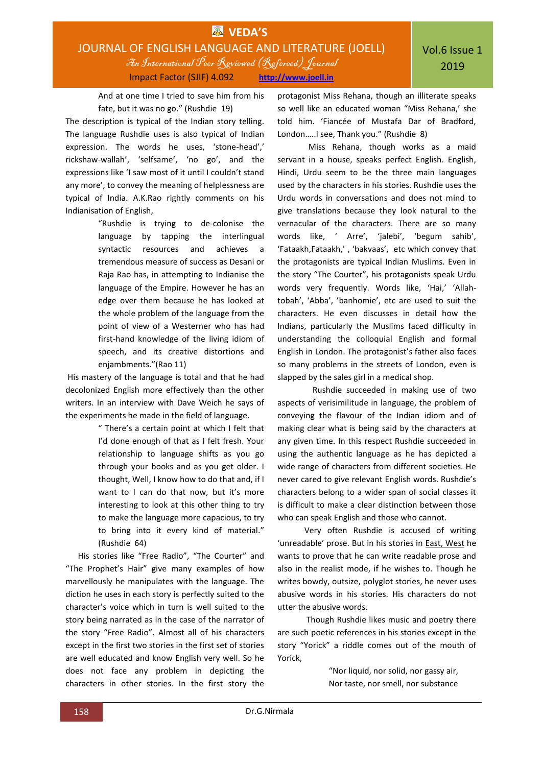And at one time I tried to save him from his fate, but it was no go." (Rushdie 19)

The description is typical of the Indian story telling. The language Rushdie uses is also typical of Indian expression. The words he uses, 'stone-head',' rickshaw-wallah', 'selfsame', 'no go', and the expressions like 'I saw most of it until I couldn't stand any more', to convey the meaning of helplessness are typical of India. A.K.Rao rightly comments on his Indianisation of English,

> "Rushdie is trying to de-colonise the language by tapping the interlingual syntactic resources and achieves a tremendous measure of success as Desani or Raja Rao has, in attempting to Indianise the language of the Empire. However he has an edge over them because he has looked at the whole problem of the language from the point of view of a Westerner who has had first-hand knowledge of the living idiom of speech, and its creative distortions and enjambments."(Rao 11)

His mastery of the language is total and that he had decolonized English more effectively than the other writers. In an interview with Dave Weich he says of the experiments he made in the field of language.

> " There's a certain point at which I felt that I'd done enough of that as I felt fresh. Your relationship to language shifts as you go through your books and as you get older. I thought, Well, I know how to do that and, if I want to I can do that now, but it's more interesting to look at this other thing to try to make the language more capacious, to try to bring into it every kind of material." (Rushdie 64)

 His stories like "Free Radio", "The Courter" and "The Prophet's Hair" give many examples of how marvellously he manipulates with the language. The diction he uses in each story is perfectly suited to the character's voice which in turn is well suited to the story being narrated as in the case of the narrator of the story "Free Radio". Almost all of his characters except in the first two stories in the first set of stories are well educated and know English very well. So he does not face any problem in depicting the characters in other stories. In the first story the

protagonist Miss Rehana, though an illiterate speaks so well like an educated woman "Miss Rehana,' she told him. 'Fiancée of Mustafa Dar of Bradford, London…..I see, Thank you." (Rushdie 8)

 Miss Rehana, though works as a maid servant in a house, speaks perfect English. English, Hindi, Urdu seem to be the three main languages used by the characters in his stories. Rushdie uses the Urdu words in conversations and does not mind to give translations because they look natural to the vernacular of the characters. There are so many words like, ' Arre', 'jalebi', 'begum sahib', 'Fataakh,Fataakh,' , 'bakvaas', etc which convey that the protagonists are typical Indian Muslims. Even in the story "The Courter", his protagonists speak Urdu words very frequently. Words like, 'Hai,' 'Allahtobah', 'Abba', 'banhomie', etc are used to suit the characters. He even discusses in detail how the Indians, particularly the Muslims faced difficulty in understanding the colloquial English and formal English in London. The protagonist's father also faces so many problems in the streets of London, even is slapped by the sales girl in a medical shop.

 Rushdie succeeded in making use of two aspects of verisimilitude in language, the problem of conveying the flavour of the Indian idiom and of making clear what is being said by the characters at any given time. In this respect Rushdie succeeded in using the authentic language as he has depicted a wide range of characters from different societies. He never cared to give relevant English words. Rushdie's characters belong to a wider span of social classes it is difficult to make a clear distinction between those who can speak English and those who cannot.

 Very often Rushdie is accused of writing 'unreadable' prose. But in his stories in East, West he wants to prove that he can write readable prose and also in the realist mode, if he wishes to. Though he writes bowdy, outsize, polyglot stories, he never uses abusive words in his stories. His characters do not utter the abusive words.

 Though Rushdie likes music and poetry there are such poetic references in his stories except in the story "Yorick" a riddle comes out of the mouth of Yorick,

> "Nor liquid, nor solid, nor gassy air, Nor taste, nor smell, nor substance